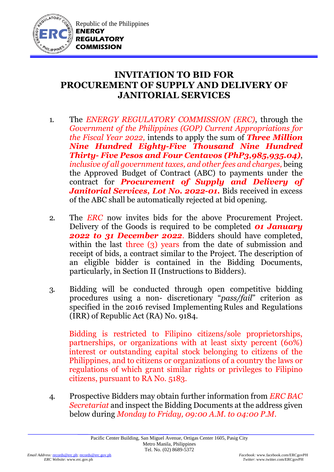

Republic of the Philippines **ENERGY REGULATORY COMMISSION**

## **INVITATION TO BID FOR PROCUREMENT OF SUPPLY AND DELIVERY OF JANITORIAL SERVICES**

- 1. The *ENERGY REGULATORY COMMISSION (ERC)*, through the *Government of the Philippines (GOP) Current Appropriations for the Fiscal Year 2022,* intends to apply the sum of *Three Million Nine Hundred Eighty-Five Thousand Nine Hundred Thirty- Five Pesos and Four Centavos (PhP3,985,935.04)*, *inclusive of all government taxes, and other fees and charges,* being the Approved Budget of Contract (ABC) to payments under the contract for *Procurement of Supply and Delivery of Janitorial Services, Lot No. 2022-01.* Bids received in excess of the ABC shall be automatically rejected at bid opening.
- 2. The *ERC* now invites bids for the above Procurement Project. Delivery of the Goods is required to be completed *01 January 2022 to 31 December 2022*. Bidders should have completed, within the last three (3) years from the date of submission and receipt of bids, a contract similar to the Project. The description of an eligible bidder is contained in the Bidding Documents, particularly, in Section II (Instructions to Bidders).
- 3. Bidding will be conducted through open competitive bidding procedures using a non- discretionary "*pass/fail*" criterion as specified in the 2016 revised Implementing Rules and Regulations (IRR) of Republic Act (RA) No. 9184.

Bidding is restricted to Filipino citizens/sole proprietorships, partnerships, or organizations with at least sixty percent (60%) interest or outstanding capital stock belonging to citizens of the Philippines, and to citizens or organizations of a country the laws or regulations of which grant similar rights or privileges to Filipino citizens, pursuant to RA No. 5183.

4. Prospective Bidders may obtain further information from *ERC BAC Secretariat* and inspect the Bidding Documents at the address given below during *Monday to Friday, 09:00 A.M. to 04:00 P.M*.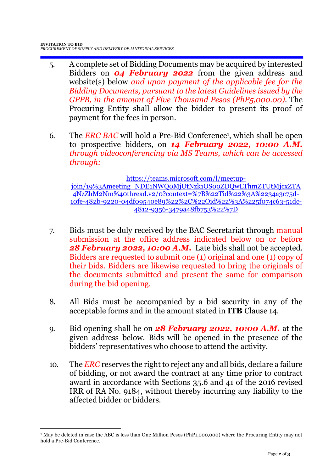- 5. A complete set of Bidding Documents may be acquired by interested Bidders on *04 February 2022* from the given address and website(s) below *and upon payment of the applicable fee for the Bidding Documents, pursuant to the latest Guidelines issued by the GPPB, in the amount of Five Thousand Pesos (PhP5,000.00)*. The Procuring Entity shall allow the bidder to present its proof of payment for the fees in person.
- 6. The *ERC BAC* will hold a Pre-Bid Conference<sup>1</sup>, which shall be open to prospective bidders, on *14 February 2022, 10:00 A.M. through videoconferencing via MS Teams, which can be accessed through:*

[https://teams.microsoft.com/l/meetup-](https://teams.microsoft.com/l/meetup-join/19%3Ameeting_NDE1NWQ0MjUtNzk1OS00ZDQwLThmZTUtMjcxZTA4NzZhM2Nm%40thread.v2/0?context=%7B%22Tid%22%3A%2234a3c75d-10fe-482b-9220-04df09540e89%22%2C%22Oid%22%3A%225f074c63-51dc-4812-9356-3479a48fb753%22%7D)

[join/19%3Ameeting\\_NDE1NWQ0MjUtNzk1OS00ZDQwLThmZTUtMjcxZTA](https://teams.microsoft.com/l/meetup-join/19%3Ameeting_NDE1NWQ0MjUtNzk1OS00ZDQwLThmZTUtMjcxZTA4NzZhM2Nm%40thread.v2/0?context=%7B%22Tid%22%3A%2234a3c75d-10fe-482b-9220-04df09540e89%22%2C%22Oid%22%3A%225f074c63-51dc-4812-9356-3479a48fb753%22%7D) [4NzZhM2Nm%40thread.v2/0?context=%7B%22Tid%22%3A%2234a3c75d-](https://teams.microsoft.com/l/meetup-join/19%3Ameeting_NDE1NWQ0MjUtNzk1OS00ZDQwLThmZTUtMjcxZTA4NzZhM2Nm%40thread.v2/0?context=%7B%22Tid%22%3A%2234a3c75d-10fe-482b-9220-04df09540e89%22%2C%22Oid%22%3A%225f074c63-51dc-4812-9356-3479a48fb753%22%7D)[10fe-482b-9220-04df09540e89%22%2C%22Oid%22%3A%225f074c63-51dc-](https://teams.microsoft.com/l/meetup-join/19%3Ameeting_NDE1NWQ0MjUtNzk1OS00ZDQwLThmZTUtMjcxZTA4NzZhM2Nm%40thread.v2/0?context=%7B%22Tid%22%3A%2234a3c75d-10fe-482b-9220-04df09540e89%22%2C%22Oid%22%3A%225f074c63-51dc-4812-9356-3479a48fb753%22%7D)[4812-9356-3479a48fb753%22%7D](https://teams.microsoft.com/l/meetup-join/19%3Ameeting_NDE1NWQ0MjUtNzk1OS00ZDQwLThmZTUtMjcxZTA4NzZhM2Nm%40thread.v2/0?context=%7B%22Tid%22%3A%2234a3c75d-10fe-482b-9220-04df09540e89%22%2C%22Oid%22%3A%225f074c63-51dc-4812-9356-3479a48fb753%22%7D)

- 7. Bids must be duly received by the BAC Secretariat through manual submission at the office address indicated below on or before *28 February 2022, 10:00 A.M.* Late bids shall not be accepted. Bidders are requested to submit one (1) original and one (1) copy of their bids. Bidders are likewise requested to bring the originals of the documents submitted and present the same for comparison during the bid opening.
- 8. All Bids must be accompanied by a bid security in any of the acceptable forms and in the amount stated in **ITB** Clause 14.
- 9. Bid opening shall be on *28 February 2022, 10:00 A.M.* at the given address below. Bids will be opened in the presence of the bidders' representatives who choose to attend the activity.
- 10. The *ERC* reserves the right to reject any and all bids, declare a failure of bidding, or not award the contract at any time prior to contract award in accordance with Sections 35.6 and 41 of the 2016 revised IRR of RA No. 9184, without thereby incurring any liability to the affected bidder or bidders.

1

<sup>1</sup> May be deleted in case the ABC is less than One Million Pesos (PhP1,000,000) where the Procuring Entity may not hold a Pre-Bid Conference.